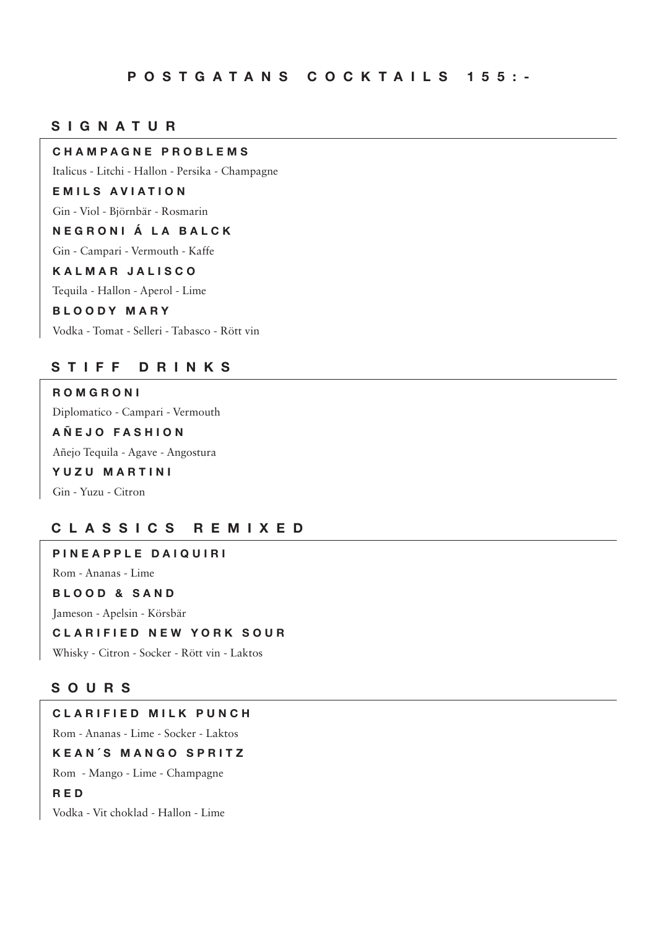### **S I G N A T U R**

#### **CHAMPAGNE PROBLEMS**

Italicus - Litchi - Hallon - Persika - Champagne

#### **EMILS AVIATION**

Gin - Viol - Björnbär - Rosmarin

#### **NEGRONI Á LA BALCK**

Gin - Campari - Vermouth - Kaffe

#### **KALMAR JALISCO**

Tequila - Hallon - Aperol - Lime

#### **BLOODY MARY**

Vodka - Tomat - Selleri - Tabasco - Rött vin

#### **S T I F F D R I N K S**

## **ROMGRONI**

Diplomatico - Campari - Vermouth

### **AÑEJO FASHION**

Añejo Tequila - Agave - Angostura

### **YUZU MARTINI**

Gin - Yuzu - Citron

### **C L A S S I C S R E M I X E D**

## **PINEAPPLE DAIQUIRI** Rom - Ananas - Lime **BLOOD & SAND** Jameson - Apelsin - Körsbär **CLARIFIED NEW YORK SOUR** Whisky - Citron - Socker - Rött vin - Laktos

#### **S O U R S**

### **CLARIFIED MILK PUNCH**

Rom - Ananas - Lime - Socker - Laktos

#### **KEAN´S MANGO SPRITZ**

Rom - Mango - Lime - Champagne

#### **RED**

Vodka - Vit choklad - Hallon - Lime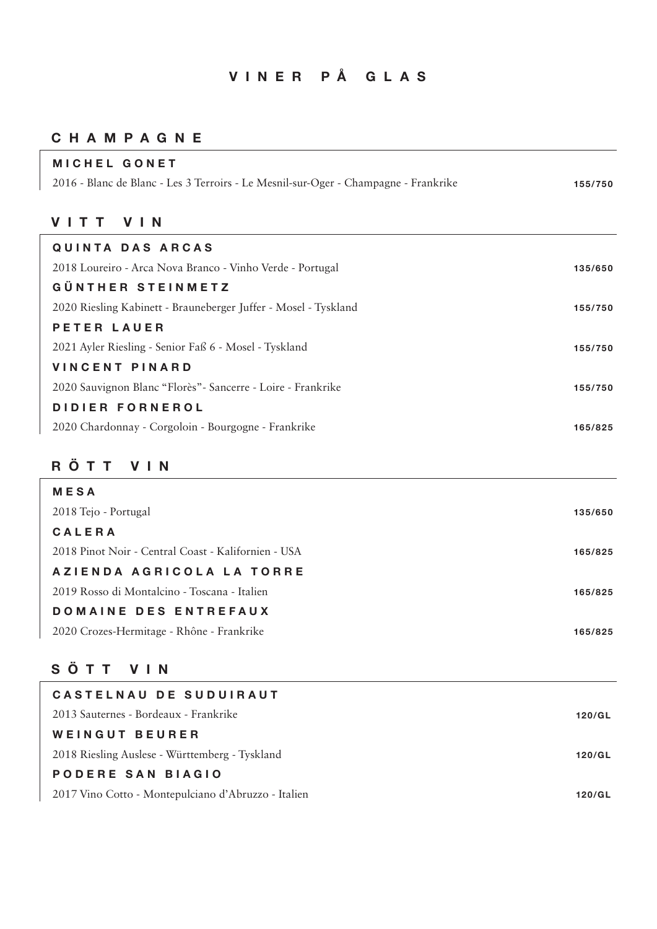# **VINER PÅ GLAS**

### **C H A M P A G N E**

| <b>MICHEL GONET</b>                                                                 |         |
|-------------------------------------------------------------------------------------|---------|
| 2016 - Blanc de Blanc - Les 3 Terroirs - Le Mesnil-sur-Oger - Champagne - Frankrike | 155/750 |
|                                                                                     |         |
| <b>VIN</b><br>VITT                                                                  |         |
| <b>QUINTA DAS ARCAS</b>                                                             |         |
| 2018 Loureiro - Arca Nova Branco - Vinho Verde - Portugal                           | 135/650 |
| <b>GÜNTHER STEINMETZ</b>                                                            |         |
| 2020 Riesling Kabinett - Brauneberger Juffer - Mosel - Tyskland                     | 155/750 |
| <b>PETER LAUER</b>                                                                  |         |
| 2021 Ayler Riesling - Senior Faß 6 - Mosel - Tyskland                               | 155/750 |
| <b>VINCENT PINARD</b>                                                               |         |
| 2020 Sauvignon Blanc "Florès" - Sancerre - Loire - Frankrike                        | 155/750 |
| DIDIER FORNEROL                                                                     |         |
| 2020 Chardonnay - Corgoloin - Bourgogne - Frankrike                                 | 165/825 |
|                                                                                     |         |
| RÖTT VIN                                                                            |         |
| <b>MESA</b>                                                                         |         |
| 2018 Tejo - Portugal                                                                | 135/650 |
| CALERA                                                                              |         |
| 2018 Pinot Noir - Central Coast - Kalifornien - USA                                 | 165/825 |
| AZIENDA AGRICOLA LA TORRE                                                           |         |
| 2019 Rosso di Montalcino - Toscana - Italien                                        | 165/825 |
| DOMAINE DES ENTREFAUX                                                               |         |
| 2020 Crozes-Hermitage - Rhône - Frankrike                                           | 165/825 |
|                                                                                     |         |
| SÖTT<br>V   N                                                                       |         |
| CASTELNAU DE SUDUIRAUT                                                              |         |
| 2013 Sauternes - Bordeaux - Frankrike                                               | 120/GL  |
| <b>WEINGUT BEURER</b>                                                               |         |
| 2018 Riesling Auslese - Württemberg - Tyskland                                      | 120/GL  |
| PODERE SAN BIAGIO                                                                   |         |
| 2017 Vino Cotto - Montepulciano d'Abruzzo - Italien                                 | 120/GL  |
|                                                                                     |         |